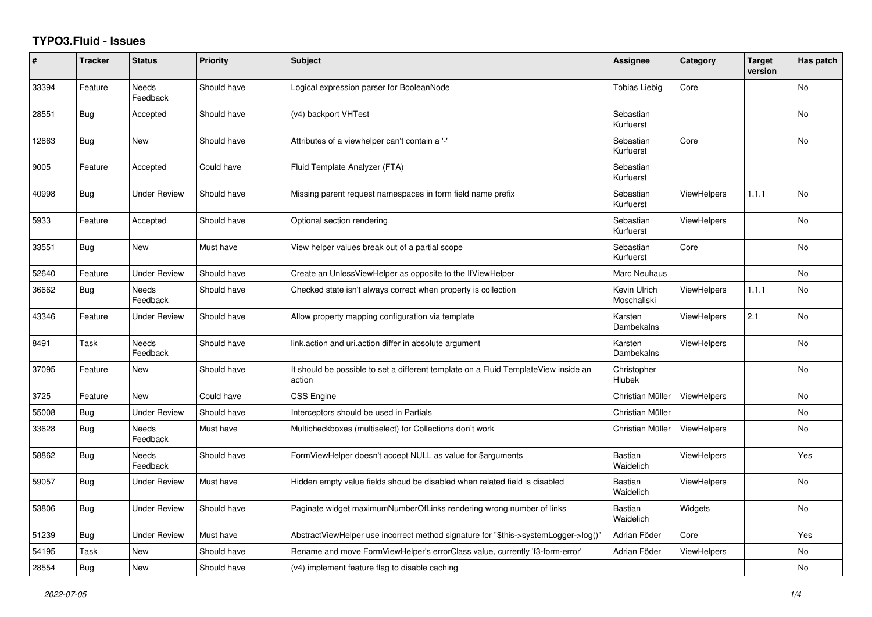## **TYPO3.Fluid - Issues**

| #     | <b>Tracker</b> | <b>Status</b>            | <b>Priority</b> | <b>Subject</b>                                                                                | Assignee                    | Category           | <b>Target</b><br>version | Has patch |
|-------|----------------|--------------------------|-----------------|-----------------------------------------------------------------------------------------------|-----------------------------|--------------------|--------------------------|-----------|
| 33394 | Feature        | <b>Needs</b><br>Feedback | Should have     | Logical expression parser for BooleanNode                                                     | <b>Tobias Liebig</b>        | Core               |                          | <b>No</b> |
| 28551 | <b>Bug</b>     | Accepted                 | Should have     | (v4) backport VHTest                                                                          | Sebastian<br>Kurfuerst      |                    |                          | <b>No</b> |
| 12863 | <b>Bug</b>     | New                      | Should have     | Attributes of a viewhelper can't contain a '-'                                                | Sebastian<br>Kurfuerst      | Core               |                          | No        |
| 9005  | Feature        | Accepted                 | Could have      | Fluid Template Analyzer (FTA)                                                                 | Sebastian<br>Kurfuerst      |                    |                          |           |
| 40998 | <b>Bug</b>     | <b>Under Review</b>      | Should have     | Missing parent request namespaces in form field name prefix                                   | Sebastian<br>Kurfuerst      | <b>ViewHelpers</b> | 1.1.1                    | <b>No</b> |
| 5933  | Feature        | Accepted                 | Should have     | Optional section rendering                                                                    | Sebastian<br>Kurfuerst      | <b>ViewHelpers</b> |                          | <b>No</b> |
| 33551 | Bug            | <b>New</b>               | Must have       | View helper values break out of a partial scope                                               | Sebastian<br>Kurfuerst      | Core               |                          | <b>No</b> |
| 52640 | Feature        | <b>Under Review</b>      | Should have     | Create an UnlessViewHelper as opposite to the IfViewHelper                                    | Marc Neuhaus                |                    |                          | No        |
| 36662 | <b>Bug</b>     | <b>Needs</b><br>Feedback | Should have     | Checked state isn't always correct when property is collection                                | Kevin Ulrich<br>Moschallski | <b>ViewHelpers</b> | 1.1.1                    | <b>No</b> |
| 43346 | Feature        | Under Review             | Should have     | Allow property mapping configuration via template                                             | Karsten<br>Dambekalns       | <b>ViewHelpers</b> | 2.1                      | No        |
| 8491  | Task           | Needs<br>Feedback        | Should have     | link.action and uri.action differ in absolute argument                                        | Karsten<br>Dambekalns       | <b>ViewHelpers</b> |                          | No        |
| 37095 | Feature        | New                      | Should have     | It should be possible to set a different template on a Fluid TemplateView inside an<br>action | Christopher<br>Hlubek       |                    |                          | <b>No</b> |
| 3725  | Feature        | New                      | Could have      | <b>CSS Engine</b>                                                                             | Christian Müller            | <b>ViewHelpers</b> |                          | <b>No</b> |
| 55008 | Bug            | <b>Under Review</b>      | Should have     | Interceptors should be used in Partials                                                       | Christian Müller            |                    |                          | No        |
| 33628 | <b>Bug</b>     | Needs<br>Feedback        | Must have       | Multicheckboxes (multiselect) for Collections don't work                                      | Christian Müller            | <b>ViewHelpers</b> |                          | <b>No</b> |
| 58862 | Bug            | <b>Needs</b><br>Feedback | Should have     | FormViewHelper doesn't accept NULL as value for \$arguments                                   | <b>Bastian</b><br>Waidelich | ViewHelpers        |                          | Yes       |
| 59057 | <b>Bug</b>     | <b>Under Review</b>      | Must have       | Hidden empty value fields shoud be disabled when related field is disabled                    | Bastian<br>Waidelich        | <b>ViewHelpers</b> |                          | <b>No</b> |
| 53806 | Bug            | <b>Under Review</b>      | Should have     | Paginate widget maximumNumberOfLinks rendering wrong number of links                          | <b>Bastian</b><br>Waidelich | Widgets            |                          | No        |
| 51239 | Bug            | <b>Under Review</b>      | Must have       | AbstractViewHelper use incorrect method signature for "\$this->systemLogger->log()"           | Adrian Föder                | Core               |                          | Yes       |
| 54195 | Task           | New                      | Should have     | Rename and move FormViewHelper's errorClass value, currently 'f3-form-error'                  | Adrian Föder                | <b>ViewHelpers</b> |                          | No        |
| 28554 | Bug            | New                      | Should have     | (v4) implement feature flag to disable caching                                                |                             |                    |                          | No        |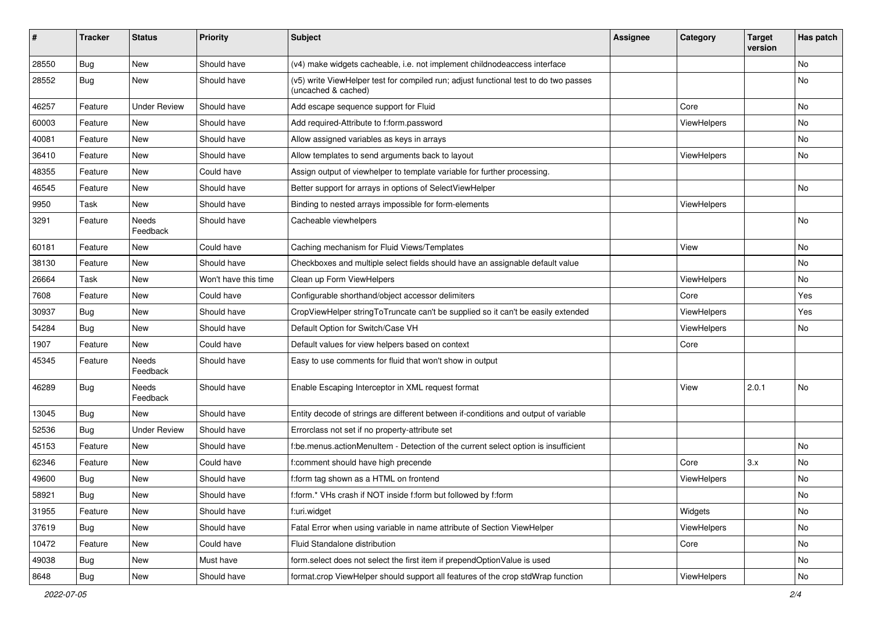| #     | <b>Tracker</b> | <b>Status</b>            | <b>Priority</b>      | <b>Subject</b>                                                                                              | <b>Assignee</b> | Category    | <b>Target</b><br>version | Has patch |
|-------|----------------|--------------------------|----------------------|-------------------------------------------------------------------------------------------------------------|-----------------|-------------|--------------------------|-----------|
| 28550 | Bug            | New                      | Should have          | (v4) make widgets cacheable, i.e. not implement childnodeaccess interface                                   |                 |             |                          | No        |
| 28552 | <b>Bug</b>     | New                      | Should have          | (v5) write ViewHelper test for compiled run; adjust functional test to do two passes<br>(uncached & cached) |                 |             |                          | No        |
| 46257 | Feature        | <b>Under Review</b>      | Should have          | Add escape sequence support for Fluid                                                                       |                 | Core        |                          | No        |
| 60003 | Feature        | New                      | Should have          | Add required-Attribute to f:form.password                                                                   |                 | ViewHelpers |                          | No        |
| 40081 | Feature        | New                      | Should have          | Allow assigned variables as keys in arrays                                                                  |                 |             |                          | No        |
| 36410 | Feature        | New                      | Should have          | Allow templates to send arguments back to layout                                                            |                 | ViewHelpers |                          | No        |
| 48355 | Feature        | New                      | Could have           | Assign output of viewhelper to template variable for further processing.                                    |                 |             |                          |           |
| 46545 | Feature        | New                      | Should have          | Better support for arrays in options of SelectViewHelper                                                    |                 |             |                          | No        |
| 9950  | Task           | New                      | Should have          | Binding to nested arrays impossible for form-elements                                                       |                 | ViewHelpers |                          |           |
| 3291  | Feature        | Needs<br>Feedback        | Should have          | Cacheable viewhelpers                                                                                       |                 |             |                          | No        |
| 60181 | Feature        | New                      | Could have           | Caching mechanism for Fluid Views/Templates                                                                 |                 | View        |                          | No        |
| 38130 | Feature        | New                      | Should have          | Checkboxes and multiple select fields should have an assignable default value                               |                 |             |                          | No        |
| 26664 | Task           | New                      | Won't have this time | Clean up Form ViewHelpers                                                                                   |                 | ViewHelpers |                          | No        |
| 7608  | Feature        | New                      | Could have           | Configurable shorthand/object accessor delimiters                                                           |                 | Core        |                          | Yes       |
| 30937 | Bug            | New                      | Should have          | CropViewHelper stringToTruncate can't be supplied so it can't be easily extended                            |                 | ViewHelpers |                          | Yes       |
| 54284 | <b>Bug</b>     | New                      | Should have          | Default Option for Switch/Case VH                                                                           |                 | ViewHelpers |                          | No        |
| 1907  | Feature        | New                      | Could have           | Default values for view helpers based on context                                                            |                 | Core        |                          |           |
| 45345 | Feature        | Needs<br>Feedback        | Should have          | Easy to use comments for fluid that won't show in output                                                    |                 |             |                          |           |
| 46289 | Bug            | <b>Needs</b><br>Feedback | Should have          | Enable Escaping Interceptor in XML request format                                                           |                 | View        | 2.0.1                    | No        |
| 13045 | Bug            | New                      | Should have          | Entity decode of strings are different between if-conditions and output of variable                         |                 |             |                          |           |
| 52536 | <b>Bug</b>     | <b>Under Review</b>      | Should have          | Errorclass not set if no property-attribute set                                                             |                 |             |                          |           |
| 45153 | Feature        | New                      | Should have          | f:be.menus.actionMenuItem - Detection of the current select option is insufficient                          |                 |             |                          | No        |
| 62346 | Feature        | New                      | Could have           | f:comment should have high precende                                                                         |                 | Core        | 3.x                      | No        |
| 49600 | <b>Bug</b>     | New                      | Should have          | f:form tag shown as a HTML on frontend                                                                      |                 | ViewHelpers |                          | No        |
| 58921 | <b>Bug</b>     | New                      | Should have          | f:form.* VHs crash if NOT inside f:form but followed by f:form                                              |                 |             |                          | N0        |
| 31955 | Feature        | New                      | Should have          | f:uri.widget                                                                                                |                 | Widgets     |                          | No        |
| 37619 | <b>Bug</b>     | New                      | Should have          | Fatal Error when using variable in name attribute of Section ViewHelper                                     |                 | ViewHelpers |                          | No        |
| 10472 | Feature        | New                      | Could have           | Fluid Standalone distribution                                                                               |                 | Core        |                          | No        |
| 49038 | Bug            | New                      | Must have            | form.select does not select the first item if prependOptionValue is used                                    |                 |             |                          | No        |
| 8648  | Bug            | New                      | Should have          | format.crop ViewHelper should support all features of the crop stdWrap function                             |                 | ViewHelpers |                          | No        |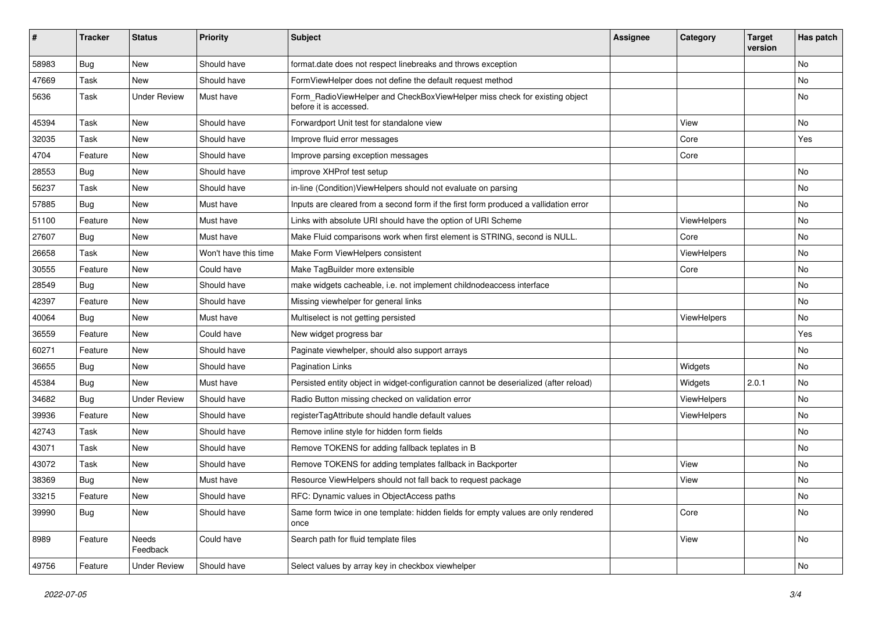| #     | <b>Tracker</b> | <b>Status</b>       | <b>Priority</b>      | Subject                                                                                              | <b>Assignee</b> | Category    | <b>Target</b><br>version | Has patch |
|-------|----------------|---------------------|----------------------|------------------------------------------------------------------------------------------------------|-----------------|-------------|--------------------------|-----------|
| 58983 | Bug            | New                 | Should have          | format.date does not respect linebreaks and throws exception                                         |                 |             |                          | <b>No</b> |
| 47669 | Task           | New                 | Should have          | FormViewHelper does not define the default request method                                            |                 |             |                          | No        |
| 5636  | Task           | <b>Under Review</b> | Must have            | Form_RadioViewHelper and CheckBoxViewHelper miss check for existing object<br>before it is accessed. |                 |             |                          | No        |
| 45394 | Task           | New                 | Should have          | Forwardport Unit test for standalone view                                                            |                 | View        |                          | No        |
| 32035 | Task           | New                 | Should have          | Improve fluid error messages                                                                         |                 | Core        |                          | Yes       |
| 4704  | Feature        | New                 | Should have          | Improve parsing exception messages                                                                   |                 | Core        |                          |           |
| 28553 | Bug            | New                 | Should have          | improve XHProf test setup                                                                            |                 |             |                          | <b>No</b> |
| 56237 | Task           | New                 | Should have          | in-line (Condition) View Helpers should not evaluate on parsing                                      |                 |             |                          | No        |
| 57885 | Bug            | New                 | Must have            | Inputs are cleared from a second form if the first form produced a vallidation error                 |                 |             |                          | No        |
| 51100 | Feature        | New                 | Must have            | Links with absolute URI should have the option of URI Scheme                                         |                 | ViewHelpers |                          | No        |
| 27607 | Bug            | New                 | Must have            | Make Fluid comparisons work when first element is STRING, second is NULL.                            |                 | Core        |                          | No        |
| 26658 | Task           | New                 | Won't have this time | Make Form ViewHelpers consistent                                                                     |                 | ViewHelpers |                          | No        |
| 30555 | Feature        | New                 | Could have           | Make TagBuilder more extensible                                                                      |                 | Core        |                          | No        |
| 28549 | Bug            | New                 | Should have          | make widgets cacheable, i.e. not implement childnodeaccess interface                                 |                 |             |                          | No        |
| 42397 | Feature        | New                 | Should have          | Missing viewhelper for general links                                                                 |                 |             |                          | No        |
| 40064 | Bug            | New                 | Must have            | Multiselect is not getting persisted                                                                 |                 | ViewHelpers |                          | No        |
| 36559 | Feature        | New                 | Could have           | New widget progress bar                                                                              |                 |             |                          | Yes       |
| 60271 | Feature        | <b>New</b>          | Should have          | Paginate viewhelper, should also support arrays                                                      |                 |             |                          | <b>No</b> |
| 36655 | Bug            | New                 | Should have          | <b>Pagination Links</b>                                                                              |                 | Widgets     |                          | No        |
| 45384 | Bug            | New                 | Must have            | Persisted entity object in widget-configuration cannot be deserialized (after reload)                |                 | Widgets     | 2.0.1                    | No        |
| 34682 | Bug            | <b>Under Review</b> | Should have          | Radio Button missing checked on validation error                                                     |                 | ViewHelpers |                          | <b>No</b> |
| 39936 | Feature        | New                 | Should have          | registerTagAttribute should handle default values                                                    |                 | ViewHelpers |                          | No        |
| 42743 | Task           | New                 | Should have          | Remove inline style for hidden form fields                                                           |                 |             |                          | <b>No</b> |
| 43071 | Task           | New                 | Should have          | Remove TOKENS for adding fallback teplates in B                                                      |                 |             |                          | No        |
| 43072 | Task           | New                 | Should have          | Remove TOKENS for adding templates fallback in Backporter                                            |                 | View        |                          | No        |
| 38369 | <b>Bug</b>     | New                 | Must have            | Resource ViewHelpers should not fall back to request package                                         |                 | View        |                          | No        |
| 33215 | Feature        | New                 | Should have          | RFC: Dynamic values in ObjectAccess paths                                                            |                 |             |                          | No        |
| 39990 | Bug            | New                 | Should have          | Same form twice in one template: hidden fields for empty values are only rendered<br>once            |                 | Core        |                          | No        |
| 8989  | Feature        | Needs<br>Feedback   | Could have           | Search path for fluid template files                                                                 |                 | View        |                          | No        |
| 49756 | Feature        | <b>Under Review</b> | Should have          | Select values by array key in checkbox viewhelper                                                    |                 |             |                          | No        |